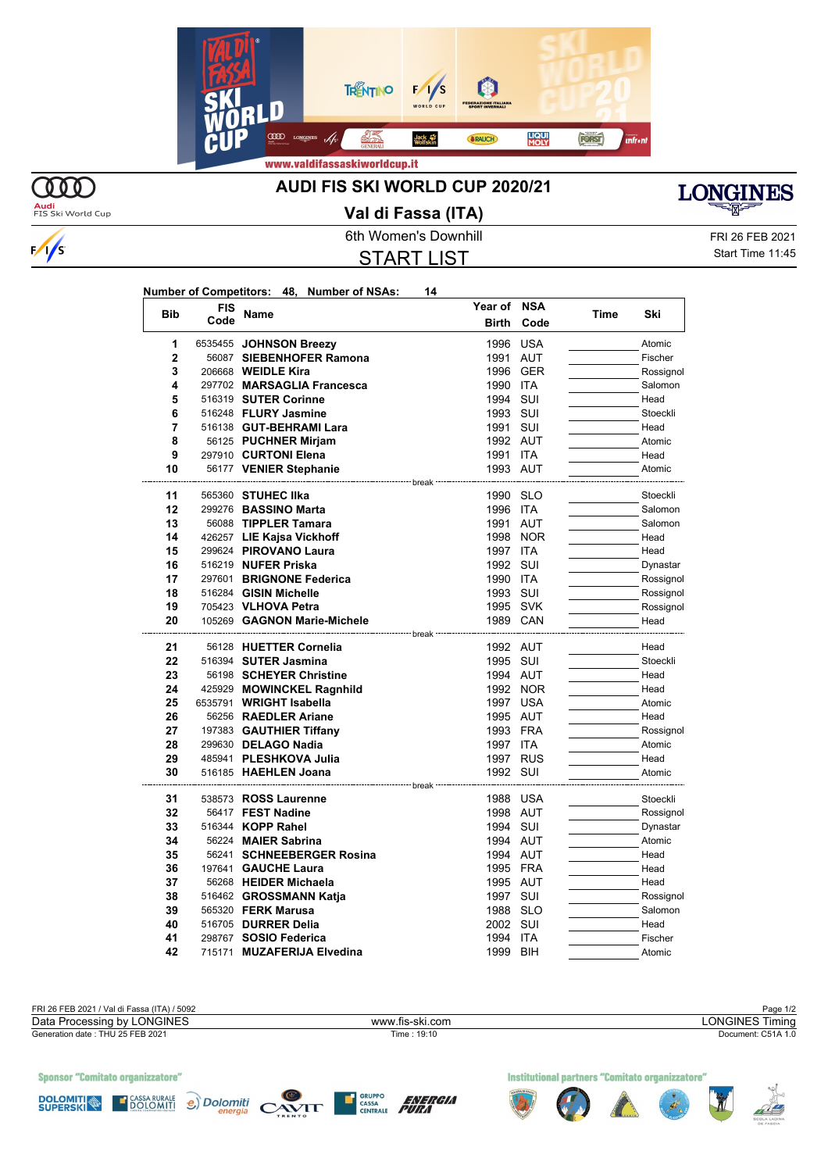



 $\sqrt{s}$ 

## **AUDI FIS SKI WORLD CUP 2020/21**



Audi<br>FIS Ski World Cup

## **Val di Fassa (ITA)**

START LIST

6th Women's Downhill FRI 26 FEB 2021 Start Time 11:45

| Number of Competitors: 48, Number of NSAs: |  |  | 14 |
|--------------------------------------------|--|--|----|
|--------------------------------------------|--|--|----|

| <b>Bib</b>     | <b>FIS</b> | Name                                         | Year of                         | <b>NSA</b> | Time | Ski                  |
|----------------|------------|----------------------------------------------|---------------------------------|------------|------|----------------------|
|                | Code       |                                              | <b>Birth</b>                    | Code       |      |                      |
| 1              |            | 6535455 JOHNSON Breezy                       | 1996                            | <b>USA</b> |      | Atomic               |
| $\overline{2}$ |            | 56087 SIEBENHOFER Ramona                     | 1991 AUT                        |            |      | Fischer              |
| 3              |            | 206668 <b>WEIDLE Kira</b>                    | 1996                            | <b>GER</b> |      | Rossignol            |
| 4              |            | 297702 MARSAGLIA Francesca                   | 1990                            | <b>ITA</b> |      | Salomon              |
| 5              |            | 516319 SUTER Corinne                         | 1994                            | SUI        |      | Head                 |
| 6              |            | 516248 FLURY Jasmine                         | 1993                            | SUI        |      | Stoeckli             |
| 7              |            | 516138 GUT-BEHRAMI Lara                      | 1991                            | SUI        |      | Head                 |
| 8              |            | 56125 PUCHNER Mirjam                         | 1992 AUT                        |            |      | Atomic               |
| 9              |            | 297910 CURTONI Elena                         | 1991 ITA                        |            |      | Head                 |
| 10             |            | 56177 VENIER Stephanie                       | 1993 AUT                        |            |      | Atomic               |
|                |            | -------------------------- break             |                                 |            |      |                      |
| 11             |            | 565360 STUHEC IIka                           | 1990 SLO                        |            |      | Stoeckli             |
| 12             |            | 299276 BASSINO Marta                         | 1996 ITA                        |            |      | Salomon              |
| 13             |            | 56088 TIPPLER Tamara                         | 1991 AUT                        |            |      | Salomon              |
| 14             |            | 426257 LIE Kajsa Vickhoff                    |                                 | 1998 NOR   |      | Head                 |
| 15             |            | 299624 PIROVANO Laura                        | 1997                            | <b>ITA</b> |      | Head                 |
| 16             |            | 516219 NUFER Priska                          | 1992 SUI                        |            |      | Dynastar             |
| 17             |            | 297601 BRIGNONE Federica                     | 1990 ITA                        |            |      | Rossignol            |
| 18             |            | 516284 GISIN Michelle                        | 1993 SUI                        |            |      | Rossignol            |
| 19             |            | 705423 VLHOVA Petra                          | 1995 SVK                        |            |      | Rossignol            |
| 20             |            | 105269 GAGNON Marie-Michele                  | 1989 CAN                        |            |      | Head                 |
|                |            |                                              |                                 |            |      |                      |
| 21             |            | 56128 HUETTER Cornelia                       | 1992 AUT                        |            |      | Head                 |
| 22             |            | 516394 SUTER Jasmina                         | 1995 SUI                        |            |      | Stoeckli             |
| 23             |            | 56198 SCHEYER Christine                      | 1994 AUT                        |            |      | Head                 |
| 24             |            | 425929 MOWINCKEL Ragnhild                    |                                 | 1992 NOR   |      | Head                 |
| 25             |            | 6535791 WRIGHT Isabella                      | 1997 USA                        |            |      | Atomic               |
| 26             |            | 56256 RAEDLER Ariane                         | 1995 AUT                        |            |      | Head                 |
| 27             |            | 197383 GAUTHIER Tiffany                      | 1993 FRA                        |            |      | Rossignol            |
| 28             |            | 299630 DELAGO Nadia                          | 1997 ITA                        |            |      | Atomic               |
| 29             |            | 485941 PLESHKOVA Julia                       |                                 | 1997 RUS   |      | Head                 |
| 30             |            | 516185 HAEHLEN Joana                         | 1992 SUI<br>------------- break |            |      | Atomic               |
| 31             |            | 538573 ROSS Laurenne                         | 1988 USA                        |            |      | Stoeckli             |
| 32             |            | 56417 FEST Nadine                            | 1998 AUT                        |            |      | Rossignol            |
| 33             |            | 516344 KOPP Rahel                            | 1994 SUI                        |            |      | Dynastar             |
| 34             |            | 56224 MAIER Sabrina                          | 1994 AUT                        |            |      | Atomic               |
| 35             |            | 56241 SCHNEEBERGER Rosina                    | 1994 AUT                        |            |      | Head                 |
| 36             |            | 197641 GAUCHE Laura                          | 1995 FRA                        |            |      | Head                 |
| 37             |            | 56268 HEIDER Michaela                        | 1995 AUT                        |            |      | Head                 |
| 38             |            |                                              | 1997                            | SUI        |      |                      |
| 39             |            | 516462 GROSSMANN Katja<br>565320 FERK Marusa | 1988 SLO                        |            |      | Rossignol<br>Salomon |
| 40             |            | 516705 <b>DURRER Delia</b>                   | 2002 SUI                        |            |      | Head                 |
| 41             |            |                                              | 1994                            | <b>ITA</b> |      |                      |
| 42             |            | 298767 SOSIO Federica                        |                                 |            |      | Fischer              |
|                |            | 715171 MUZAFERIJA Elvedina                   | 1999                            | BIH        |      | Atomic               |

| FRI 26 FEB 2021 / Val di Fassa (ITA) / 5092 |                 | Page 1/2               |
|---------------------------------------------|-----------------|------------------------|
| Data Processing by LONGINES                 | www.fis-ski.com | <b>LONGINES Timing</b> |
| Generation date: THU 25 FEB 2021            | Time: 19:10     | Document: C51A 1.0     |
|                                             |                 |                        |
|                                             |                 |                        |
|                                             |                 |                        |